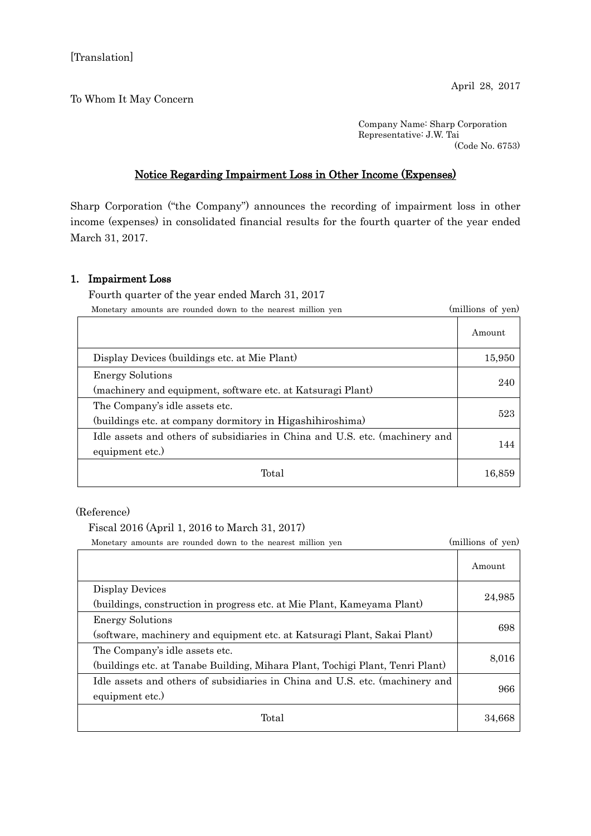## To Whom It May Concern

Company Name: Sharp Corporation Representative: J.W. Tai (Code No. 6753)

## Notice Regarding Impairment Loss in Other Income (Expenses)

Sharp Corporation ("the Company") announces the recording of impairment loss in other income (expenses) in consolidated financial results for the fourth quarter of the year ended March 31, 2017.

## 1. Impairment Loss

Fourth quarter of the year ended March 31, 2017

| Monetary amounts are rounded down to the nearest million yen                                    | (millions of yen) |
|-------------------------------------------------------------------------------------------------|-------------------|
|                                                                                                 | Amount            |
| Display Devices (buildings etc. at Mie Plant)                                                   | 15,950            |
| <b>Energy Solutions</b><br>(machinery and equipment, software etc. at Katsuragi Plant)          | 240               |
| The Company's idle assets etc.<br>(buildings etc. at company dormitory in Higashihiroshima)     | 523               |
| Idle assets and others of subsidiaries in China and U.S. etc. (machinery and<br>equipment etc.) | 144               |
| Total                                                                                           | 16,859            |

(Reference)

Fiscal 2016 (April 1, 2016 to March 31, 2017)

Monetary amounts are rounded down to the nearest million yen (millions of yen)

|                                                                               | Amount |
|-------------------------------------------------------------------------------|--------|
| Display Devices                                                               | 24,985 |
| (buildings, construction in progress etc. at Mie Plant, Kameyama Plant)       |        |
| <b>Energy Solutions</b>                                                       | 698    |
| (software, machinery and equipment etc. at Katsuragi Plant, Sakai Plant)      |        |
| The Company's idle assets etc.                                                | 8,016  |
| (buildings etc. at Tanabe Building, Mihara Plant, Tochigi Plant, Tenri Plant) |        |
| Idle assets and others of subsidiaries in China and U.S. etc. (machinery and  |        |
| equipment etc.)                                                               | 966    |
| Total                                                                         | 34,668 |